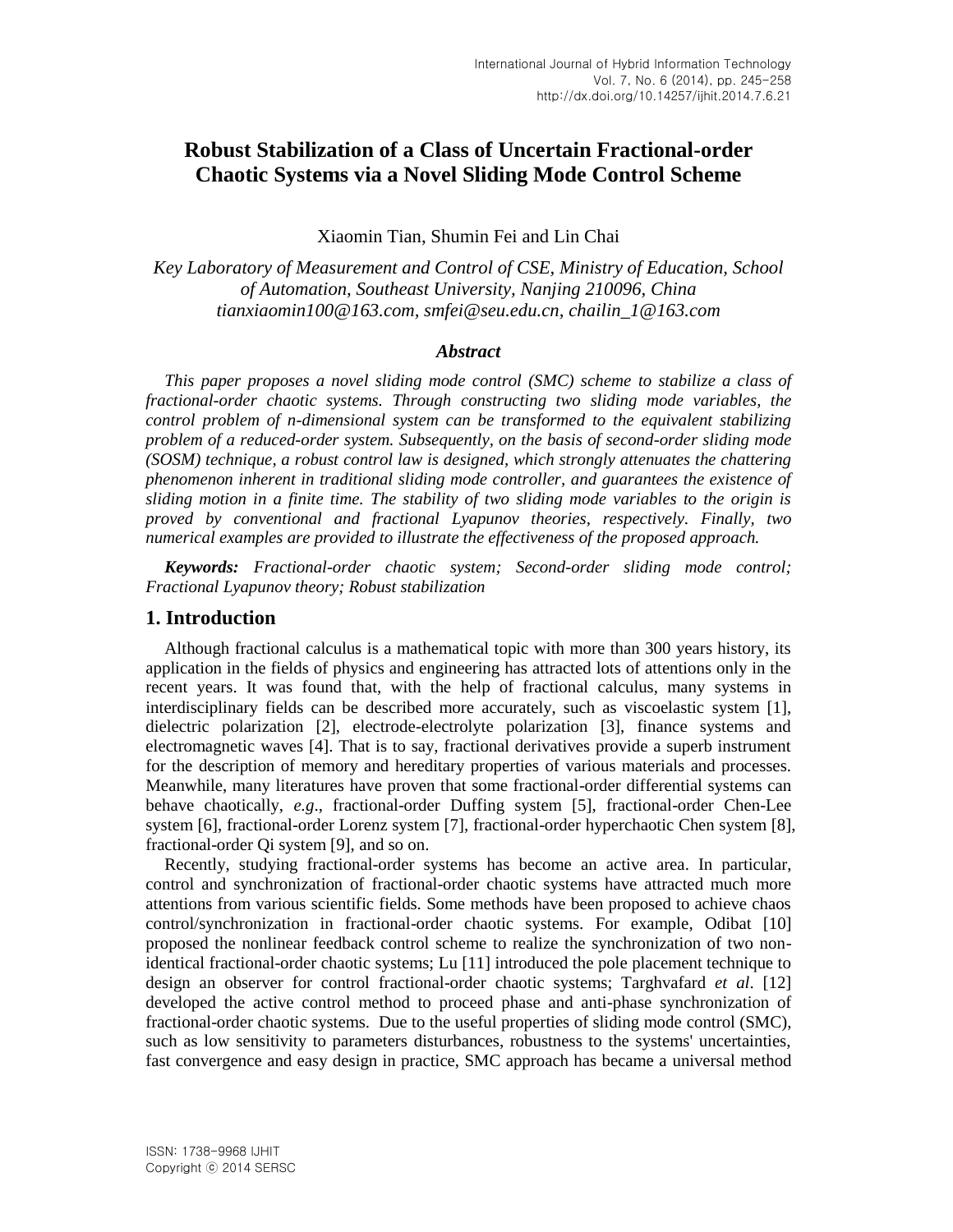# **Robust Stabilization of a Class of Uncertain Fractional-order Chaotic Systems via a Novel Sliding Mode Control Scheme**

Xiaomin Tian, Shumin Fei and Lin Chai

*Key Laboratory of Measurement and Control of CSE, Ministry of Education, School of Automation, Southeast University, Nanjing 210096, China tianxiaomin100@163.com, smfei@seu.edu.cn, chailin\_1@163.com*

#### *Abstract*

*This paper proposes a novel sliding mode control (SMC) scheme to stabilize a class of fractional-order chaotic systems. Through constructing two sliding mode variables, the control problem of n-dimensional system can be transformed to the equivalent stabilizing problem of a reduced-order system. Subsequently, on the basis of second-order sliding mode (SOSM) technique, a robust control law is designed, which strongly attenuates the chattering phenomenon inherent in traditional sliding mode controller, and guarantees the existence of sliding motion in a finite time. The stability of two sliding mode variables to the origin is proved by conventional and fractional Lyapunov theories, respectively. Finally, two numerical examples are provided to illustrate the effectiveness of the proposed approach.* 

*Keywords: Fractional-order chaotic system; Second-order sliding mode control; Fractional Lyapunov theory; Robust stabilization*

# **1. Introduction**

Although fractional calculus is a mathematical topic with more than 300 years history, its application in the fields of physics and engineering has attracted lots of attentions only in the recent years. It was found that, with the help of fractional calculus, many systems in interdisciplinary fields can be described more accurately, such as viscoelastic system [1], dielectric polarization [2], electrode-electrolyte polarization [3], finance systems and electromagnetic waves [4]. That is to say, fractional derivatives provide a superb instrument for the description of memory and hereditary properties of various materials and processes. Meanwhile, many literatures have proven that some fractional-order differential systems can behave chaotically, *e.g*., fractional-order Duffing system [5], fractional-order Chen-Lee system [6], fractional-order Lorenz system [7], fractional-order hyperchaotic Chen system [8], fractional-order Qi system [9], and so on.

Recently, studying fractional-order systems has become an active area. In particular, control and synchronization of fractional-order chaotic systems have attracted much more attentions from various scientific fields. Some methods have been proposed to achieve chaos control/synchronization in fractional-order chaotic systems. For example, Odibat [10] proposed the nonlinear feedback control scheme to realize the synchronization of two nonidentical fractional-order chaotic systems; Lu [11] introduced the pole placement technique to design an observer for control fractional-order chaotic systems; Targhvafard *et al*. [12] developed the active control method to proceed phase and anti-phase synchronization of fractional-order chaotic systems. Due to the useful properties of sliding mode control (SMC), such as low sensitivity to parameters disturbances, robustness to the systems' uncertainties, fast convergence and easy design in practice, SMC approach has became a universal method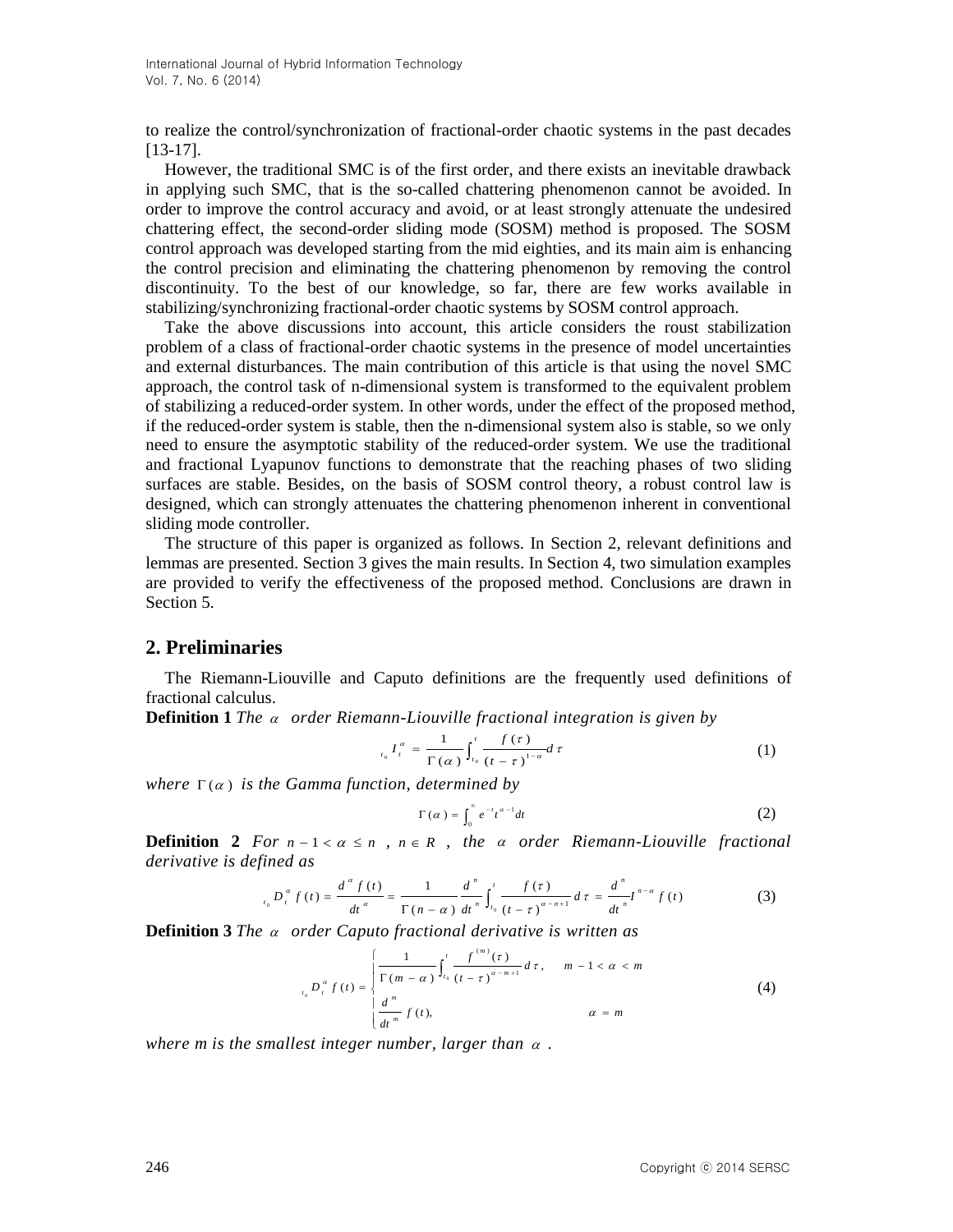to realize the control/synchronization of fractional-order chaotic systems in the past decades [13-17].

However, the traditional SMC is of the first order, and there exists an inevitable drawback in applying such SMC, that is the so-called chattering phenomenon cannot be avoided. In order to improve the control accuracy and avoid, or at least strongly attenuate the undesired chattering effect, the second-order sliding mode (SOSM) method is proposed. The SOSM control approach was developed starting from the mid eighties, and its main aim is enhancing the control precision and eliminating the chattering phenomenon by removing the control discontinuity. To the best of our knowledge, so far, there are few works available in stabilizing/synchronizing fractional-order chaotic systems by SOSM control approach.

Take the above discussions into account, this article considers the roust stabilization problem of a class of fractional-order chaotic systems in the presence of model uncertainties and external disturbances. The main contribution of this article is that using the novel SMC approach, the control task of n-dimensional system is transformed to the equivalent problem of stabilizing a reduced-order system. In other words, under the effect of the proposed method, if the reduced-order system is stable, then the n-dimensional system also is stable, so we only need to ensure the asymptotic stability of the reduced-order system. We use the traditional and fractional Lyapunov functions to demonstrate that the reaching phases of two sliding surfaces are stable. Besides, on the basis of SOSM control theory, a robust control law is designed, which can strongly attenuates the chattering phenomenon inherent in conventional sliding mode controller.

The structure of this paper is organized as follows. In Section 2, relevant definitions and lemmas are presented. Section 3 gives the main results. In Section 4, two simulation examples are provided to verify the effectiveness of the proposed method. Conclusions are drawn in Section 5.

## **2. Preliminaries**

The Riemann-Liouville and Caputo definitions are the frequently used definitions of fractional calculus.

**Definition 1** *The a order Riemann-Liouville fractional integration is given by* 

$$
t_0 I_t^{\alpha} = \frac{1}{\Gamma(\alpha)} \int_{t_0}^t \frac{f(\tau)}{(t-\tau)^{1-\alpha}} d\tau
$$
 (1)

 $where \Gamma(\alpha)$  *is the Gamma function, determined by* 

$$
\Gamma(\alpha) = \int_0^\infty e^{-t} t^{\alpha - 1} dt \tag{2}
$$

**Definition** 2 *For*  $n-1 < \alpha \leq n$ ,  $n \in R$ , the  $\alpha$  order Riemann-Liouville fractional *derivative is defined as*

$$
{}_{t_0}D_t^{\alpha} f(t) = \frac{d^{\alpha} f(t)}{dt^{\alpha}} = \frac{1}{\Gamma(n-\alpha)} \frac{d^n}{dt^n} \int_{t_0}^t \frac{f(\tau)}{(t-\tau)^{\alpha-n+1}} d\tau = \frac{d^n}{dt^n} I^{n-\alpha} f(t)
$$
 (3)

**Definition 3** *The a order Caputo fractional derivative is written as* 

$$
L_{t_0} D_t^{\alpha} f(t) = \begin{cases} \frac{1}{\Gamma(m-\alpha)} \int_{t_0}^t \frac{f^{(m)}(\tau)}{(t-\tau)^{\alpha-m+1}} d\tau, & m-1 < \alpha < m \\ \frac{d^m}{dt^m} f(t), & \alpha = m \end{cases}
$$
(4)

where m is the smallest integer number, larger than  $\alpha$ .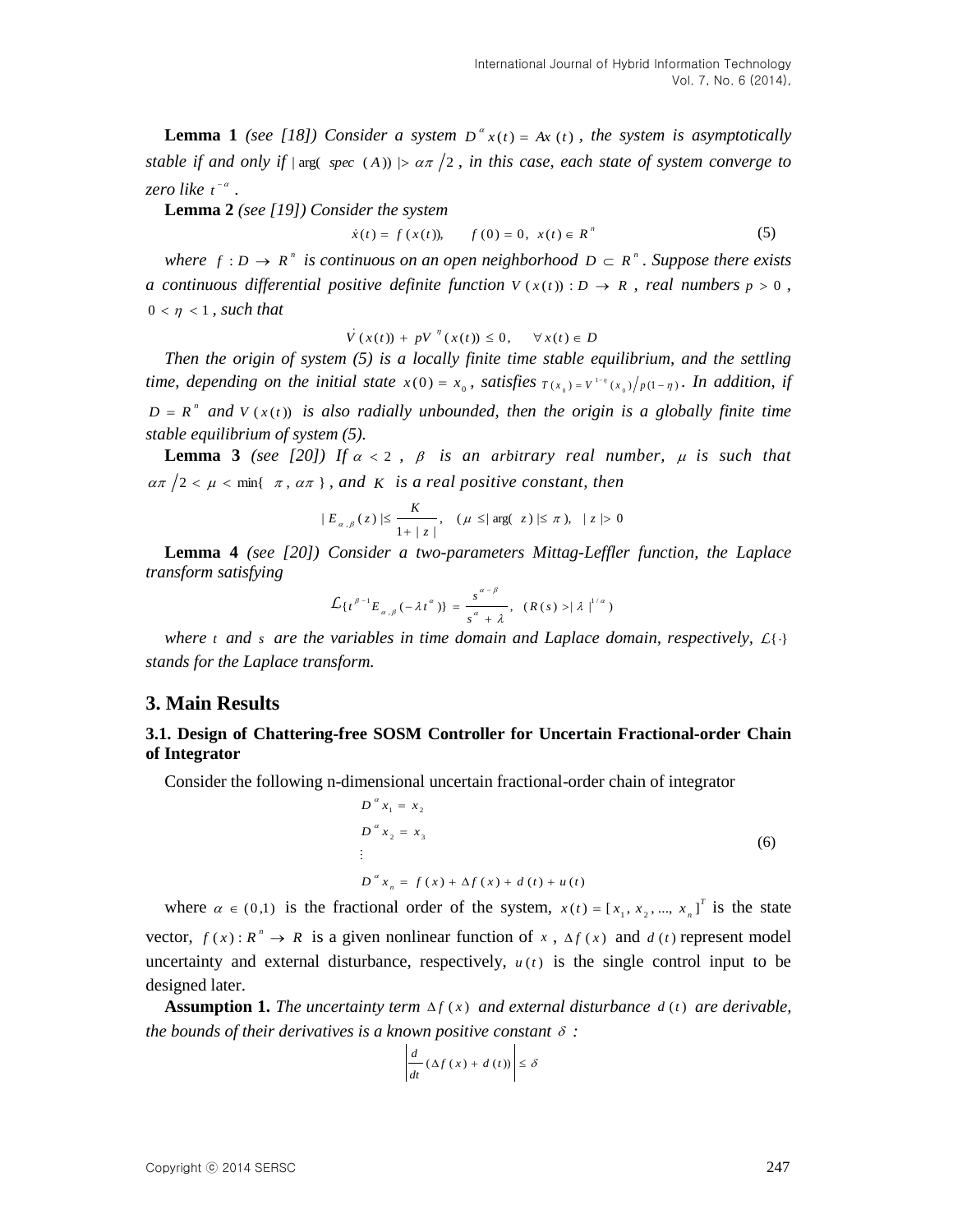**Lemma 1** (see [18]) Consider a system  $D^{\alpha} x(t) = Ax(t)$ , the system is asymptotically *stable if and only if*  $|\arg(\text{ spec } (A))| > \alpha \pi /2$ , *in this case, each state of system converge to zero like*  $t^{-\alpha}$ .

**Lemma 2** *(see [19]) Consider the system*

$$
\dot{x}(t) = f(x(t)), \qquad f(0) = 0, \ x(t) \in R^n \tag{5}
$$

*where*  $f : D \to R^n$  *is continuous on an open neighborhood*  $D \subset R^n$ . Suppose there exists *a* continuous differential positive definite function  $V(x(t)) : D \to R$ , real numbers  $p > 0$ ,  $0 < \eta < 1$ , such that

$$
\dot{V}(x(t)) + pV^{\eta}(x(t)) \leq 0, \quad \forall x(t) \in D
$$

*Then the origin of system (5) is a locally finite time stable equilibrium, and the settling time, depending on the initial state*  $x(0) = x_0$ *, satisfies*  $T(x_0) = V^{1-\eta}(x_0)/p(1-\eta)$ *. In addition, if*  $D = R<sup>n</sup>$  and  $V(x(t))$  is also radially unbounded, then the origin is a globally finite time *stable equilibrium of system (5).*

**Lemma 3** (see [20]) If  $\alpha < 2$ ,  $\beta$  is an arbitrary real number,  $\mu$  is such that  $\alpha \pi /2 < \mu < \min\{\pi, \alpha \pi\}$ , and *K* is a real positive constant, then

$$
|E_{\alpha,\beta}(z)| \le \frac{K}{1+|z|}, \quad (\mu \le |\arg(|z)| \le \pi), \quad |z| > 0
$$

**Lemma 4** *(see [20]) Consider a two-parameters Mittag-Leffler function, the Laplace transform satisfying*

$$
\mathcal{L}\left\{t^{\beta-1}E_{\alpha,\beta}(-\lambda t^{\alpha})\right\} = \frac{s^{\alpha-\beta}}{s^{\alpha}+\lambda}, \ \ (R(s) > |\lambda|^{1/\alpha})
$$

where *t* and *s* are the variables in time domain and Laplace domain, respectively,  $L\{\cdot\}$ *stands for the Laplace transform.*

## **3. Main Results**

### **3.1. Design of Chattering-free SOSM Controller for Uncertain Fractional-order Chain of Integrator**

Consider the following n-dimensional uncertain fractional-order chain of integrator

$$
D^{a} x_{1} = x_{2}
$$
  
\n
$$
D^{a} x_{2} = x_{3}
$$
  
\n
$$
\vdots
$$
  
\n
$$
D^{a} x_{n} = f(x) + \Delta f(x) + d(t) + u(t)
$$
\n(6)

where  $\alpha \in (0,1)$  is the fractional order of the system,  $x(t) = [x_1, x_2, ..., x_n]^T$  $x(t) = [x_1, x_2, ..., x_n]^T$  is the state vector,  $f(x) : R^n \to R$  is a given nonlinear function of x,  $\Delta f(x)$  and  $d(t)$  represent model uncertainty and external disturbance, respectively,  $u(t)$  is the single control input to be designed later.

**Assumption 1.** *The uncertainty term*  $\Delta f(x)$  *and external disturbance d*(*t*) *are derivable,* the bounds of their derivatives is a known positive constant  $\delta$ :

$$
\left|\frac{d}{dt}(\Delta f(x) + d(t))\right| \leq \delta
$$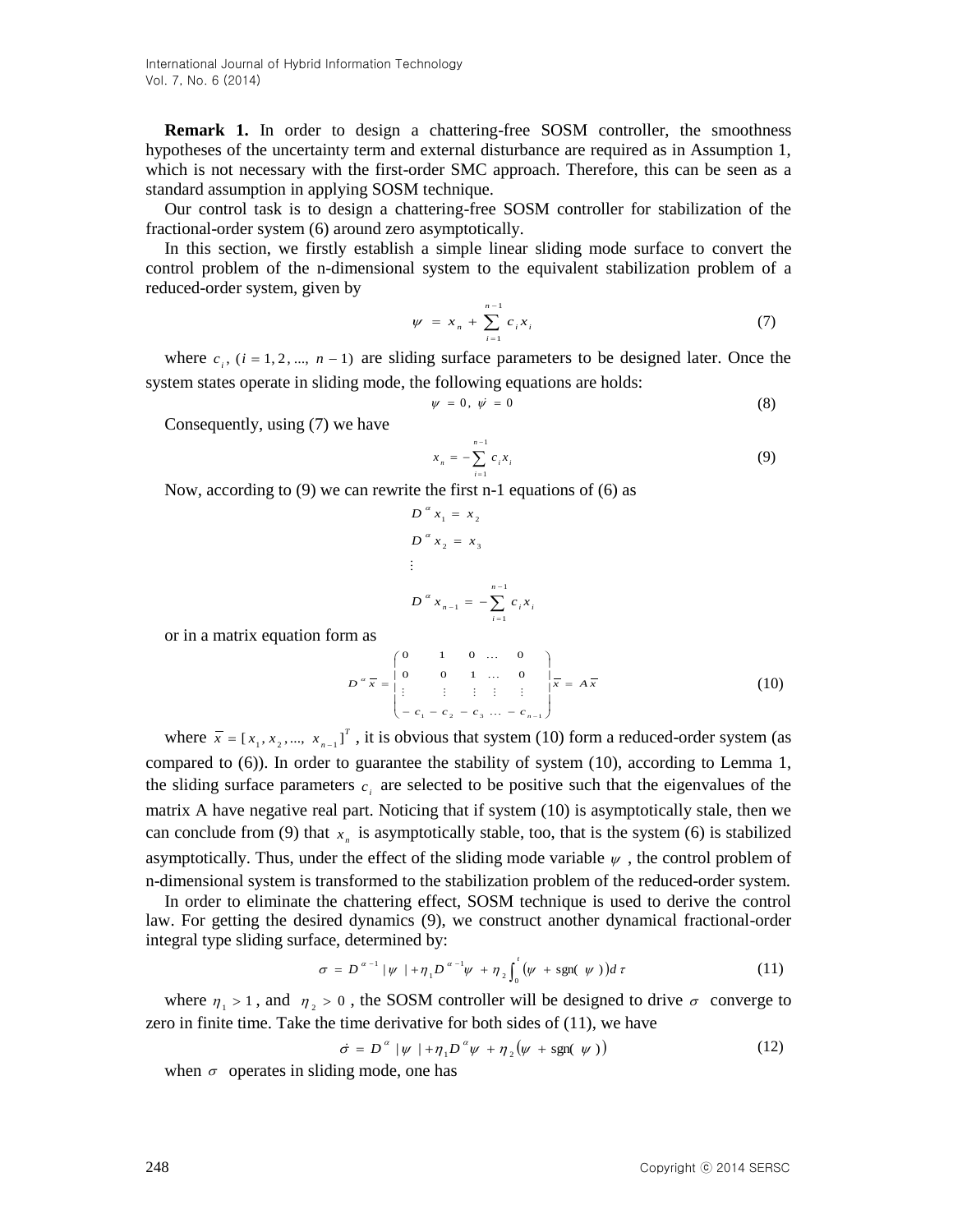International Journal of Hybrid Information Technology Vol. 7, No. 6 (2014)

**Remark 1.** In order to design a chattering-free SOSM controller, the smoothness hypotheses of the uncertainty term and external disturbance are required as in Assumption 1, which is not necessary with the first-order SMC approach. Therefore, this can be seen as a standard assumption in applying SOSM technique.

Our control task is to design a chattering-free SOSM controller for stabilization of the fractional-order system (6) around zero asymptotically.

In this section, we firstly establish a simple linear sliding mode surface to convert the control problem of the n-dimensional system to the equivalent stabilization problem of a reduced-order system, given by

$$
\psi = x_n + \sum_{i=1}^{n-1} c_i x_i \tag{7}
$$

where  $c_i$ ,  $(i = 1, 2, ..., n - 1)$  are sliding surface parameters to be designed later. Once the system states operate in sliding mode, the following equations are holds:

$$
\psi = 0, \quad \psi = 0 \tag{8}
$$

Consequently, using (7) we have

$$
x_n = -\sum_{i=1}^{n-1} c_i x_i
$$
 (9)

Now, according to (9) we can rewrite the first n-1 equations of (6) as

$$
D^{a} x_{1} = x_{2}
$$
  
\n
$$
D^{a} x_{2} = x_{3}
$$
  
\n:  
\n
$$
D^{a} x_{n-1} = -\sum_{i=1}^{n-1} c_{i} x_{i}
$$

or in a matrix equation form as

$$
D^{a} \overline{x} = \begin{pmatrix} 0 & 1 & 0 & \dots & 0 \\ 0 & 0 & 1 & \dots & 0 \\ \vdots & \vdots & \vdots & \vdots & \vdots \\ -c_{1} - c_{2} - c_{3} & \dots & -c_{n-1} \end{pmatrix} \overline{x} = A \overline{x}
$$
(10)

where  $\bar{x} = [x_1, x_2, ..., x_{n-1}]^T$  $\overline{x}$  = [ $x_1, x_2, ..., x_{n-1}$ ]<sup>T</sup>, it is obvious that system (10) form a reduced-order system (as compared to (6)). In order to guarantee the stability of system (10), according to Lemma 1, the sliding surface parameters  $c_i$  are selected to be positive such that the eigenvalues of the matrix A have negative real part. Noticing that if system (10) is asymptotically stale, then we can conclude from (9) that  $x_n$  is asymptotically stable, too, that is the system (6) is stabilized asymptotically. Thus, under the effect of the sliding mode variable  $\psi$ , the control problem of n-dimensional system is transformed to the stabilization problem of the reduced-order system.

In order to eliminate the chattering effect, SOSM technique is used to derive the control law. For getting the desired dynamics (9), we construct another dynamical fractional-order integral type sliding surface, determined by:

$$
\sigma = D^{\alpha - 1} |\psi| + \eta_1 D^{\alpha - 1} \psi + \eta_2 \int_0^t (\psi + \text{sgn}(\psi)) d\tau \tag{11}
$$

where  $\eta_1 > 1$ , and  $\eta_2 > 0$ , the SOSM controller will be designed to drive  $\sigma$  converge to zero in finite time. Take the time derivative for both sides of (11), we have

$$
\dot{\sigma} = D^{\alpha} \left[ \psi + \eta_1 D^{\alpha} \psi + \eta_2 (\psi + \text{sgn}(\psi)) \right]
$$
 (12)

when  $\sigma$  operates in sliding mode, one has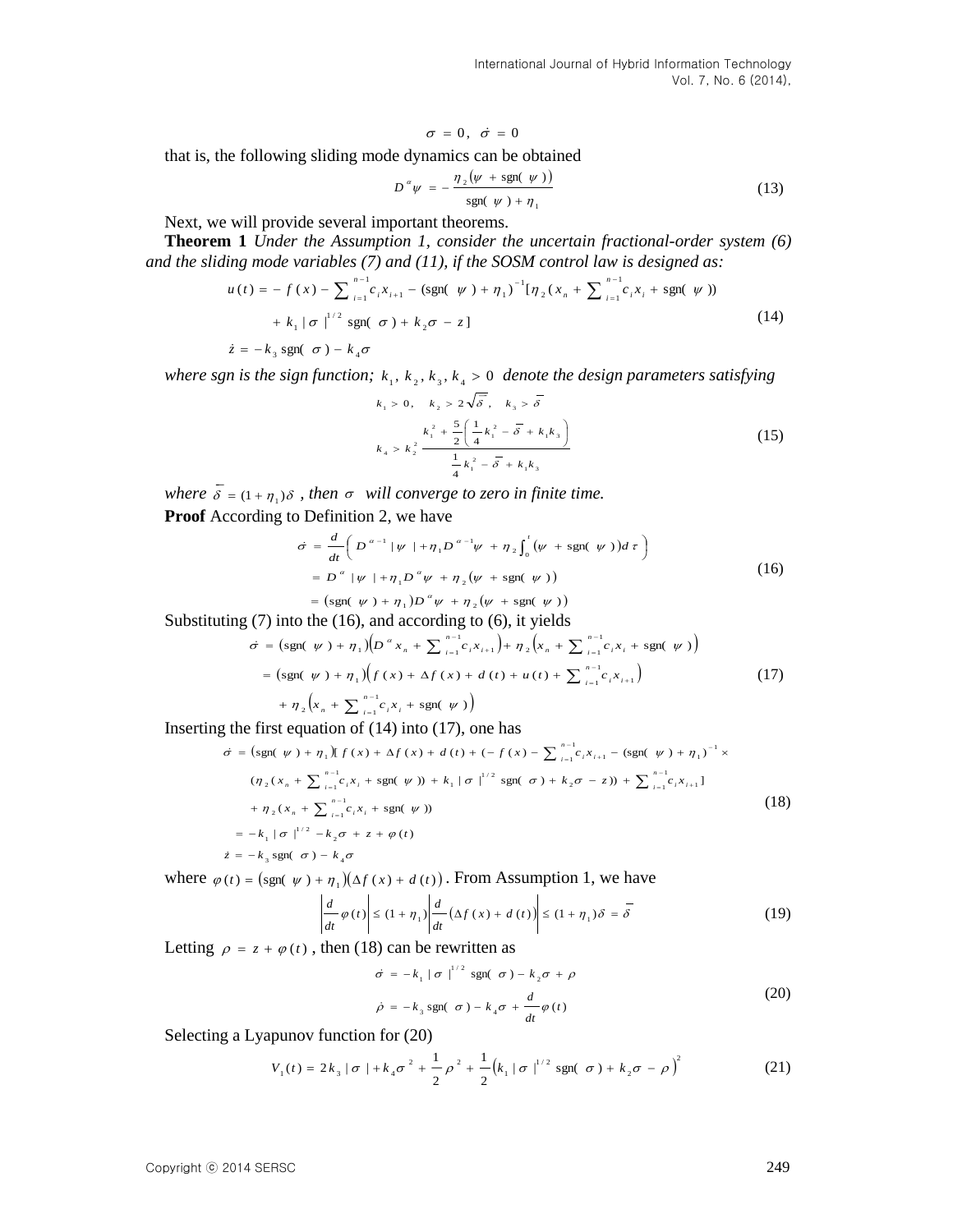that is, the following sliding mode dynamics can be obtained

$$
D^{\alpha}\psi = -\frac{\eta_2(\psi + \text{sgn}(\psi))}{\text{sgn}(\psi) + \eta_1}
$$
\n(13)

Next, we will provide several important theorems.

**Theorem 1** *Under the Assumption 1, consider the uncertain fractional-order system (6) and the sliding mode variables (7) and (11), if the SOSM control law is designed as:*

$$
u(t) = -f(x) - \sum_{i=1}^{n-1} c_i x_{i+1} - (\text{sgn}(\psi) + \eta_1)^{-1} [\eta_2(x_n + \sum_{i=1}^{n-1} c_i x_i + \text{sgn}(\psi))
$$
  
+  $k_1 |\sigma|^{1/2} \text{sgn}(\sigma) + k_2 \sigma - z]$  (14)

$$
\dot{z} = -k_3 \text{ sgn}(\sigma) - k_4 \sigma
$$

where sgn is the sign function;  $k_1, k_2, k_3, k_4 > 0$  denote the design parameters satisfying

$$
k_1 > 0, \quad k_2 > 2\sqrt{\overline{\delta}}, \quad k_3 > \overline{\delta}
$$
  

$$
k_4 > k_2^2 \frac{k_1^2 + \frac{5}{2} \left( \frac{1}{4} k_1^2 - \overline{\delta} + k_1 k_3 \right)}{\frac{1}{4} k_1^2 - \overline{\delta} + k_1 k_3}
$$
 (15)

where  $\overline{\delta} = (1 + \eta_1)\delta$ , then  $\sigma$  will converge to zero in finite time.

**Proof** According to Definition 2, we have

$$
\dot{\sigma} = \frac{d}{dt} \left( D^{\alpha - 1} |\psi| + \eta_1 D^{\alpha - 1} \psi + \eta_2 \int_0^t (\psi + \text{sgn}(\psi)) d\tau \right)
$$
  
=  $D^{\alpha} |\psi| + \eta_1 D^{\alpha} \psi + \eta_2 (\psi + \text{sgn}(\psi))$   
=  $(\text{sgn}(\psi) + \eta_1) D^{\alpha} \psi + \eta_2 (\psi + \text{sgn}(\psi))$  (16)

Substituting (7) into the (16), and according to (6), it yields

$$
\dot{\sigma} = \left(\text{sgn}(\ \psi) + \eta_1\right) \left(D^{\alpha} x_n + \sum_{i=1}^{n-1} c_i x_{i+1}\right) + \eta_2 \left(x_n + \sum_{i=1}^{n-1} c_i x_i + \text{sgn}(\ \psi)\right)
$$
\n
$$
= \left(\text{sgn}(\ \psi) + \eta_1\right) \left(f(x) + \Delta f(x) + d(t) + u(t) + \sum_{i=1}^{n-1} c_i x_{i+1}\right) \tag{17}
$$

 $\left(x_n + \sum_{i=1}^{n-1} c_i x_i + \text{sgn}(\psi)\right)$ +  $\eta_2\Big(x_n + \sum_{i=1}^{n-1} c_i x_i + \text{sgn}(\psi)\Big)$  $=$  $x_n + \sum_{i=1}^{n-1} c_i x_i$ 

Inserting the first equation of  $(14)$  into  $(17)$ , one has

that is, the following sliding mode dynamics can be obtained  
\n
$$
\sigma = 0, \quad \sigma = 0
$$
\n
$$
\sigma' = \frac{\pi_2(\psi + s_{\text{BDE}}(\psi))}{\text{sgn}(\psi) + \pi_1}
$$
\n(13)  
\nNext, we will provide several important theorem.  
\n**Theorem 1** Under the Assumption 1, consider the uncertain fractional-order system (6)  
\nand the sliding mode variables (7) and (11), if the SOS derived law is designed as:  
\n
$$
u(t) = -f(x) - \sum_{i=1}^{n} e_i x_{i+1} - (sgn(\psi) + \pi_1)^{-1} [\pi_2(x_n + \sum_{i=1}^{n-1} e_i x_i + s_{\text{BDE}}(\psi))
$$
\n
$$
+ k_1 |\sigma|^{1/2} s_{\text{BDE}}(\sigma) + k_2 \sigma - z|
$$
\n(14)  
\n
$$
z = -k_1 s_{\text{BDE}}(\sigma) - k_4 \sigma
$$
\nwhere sgn is the sign function;  
\n
$$
k_1, k_2, k_3, k_4, k_3
$$
\n0 denote the design parameters satisfying  
\n
$$
k_2, s_1, k_3, k_4, k_3
$$
\n(15)  
\n
$$
k_3 = k_1^2 \left( \frac{1}{2} k_1^2 - \frac{\pi}{6} + k_4 k_3 \right)
$$
\n(16)  
\n
$$
k_4 > k_2^2 \frac{k_1^2 + \frac{5}{2} \left( \frac{1}{2} k_1^2 - \frac{\pi}{6} + k_4 k_3 \right)}
$$
\n(15)  
\n
$$
= \frac{k_1^2 + \frac{5}{2} \left( \frac{1}{2} k_1^2 - \frac{\pi}{6} + k_4 k_3 \right)}
$$
\n(16)  
\n
$$
= \sigma^2 (\psi + 1\pi_1) \sigma^2 \psi + \pi_2 (\psi + s_{\text{BDE}}(\psi))
$$
\nSubstituting (7) into the (16), and according to (6), it yields  
\n
$$
\sigma = (sgn(\psi) + \pi_1) (\sigma^2 x_n + \sum_{i=1}^{n} e_i x_{i+1}) + \pi_2 (\psi + \sum_{i=1}^{n} e_i x_{i+1})
$$
\n(17)  
\n

where  $\varphi(t) = \left(\text{sgn}(\psi) + \eta_1\right) \left(\Delta f(x) + d(t)\right)$ . From Assumption 1, we have

$$
\left| \frac{d}{dt} \varphi(t) \right| \le (1 + \eta_1) \left| \frac{d}{dt} \left( \Delta f(x) + d(t) \right) \right| \le (1 + \eta_1) \delta = \overline{\delta}
$$
\n(19)

Letting  $\rho = z + \varphi(t)$ , then (18) can be rewritten as

$$
\dot{\sigma} = -k_1 |\sigma|^{1/2} \operatorname{sgn}(\sigma) - k_2 \sigma + \rho
$$
  

$$
\dot{\rho} = -k_3 \operatorname{sgn}(\sigma) - k_4 \sigma + \frac{d}{dt} \varphi(t)
$$
 (20)

Selecting a Lyapunov function for (20)

$$
V_1(t) = 2k_3 |\sigma| + k_4 \sigma^2 + \frac{1}{2} \rho^2 + \frac{1}{2} (k_1 |\sigma|^{1/2} \text{sgn}(\sigma) + k_2 \sigma - \rho)^2
$$
 (21)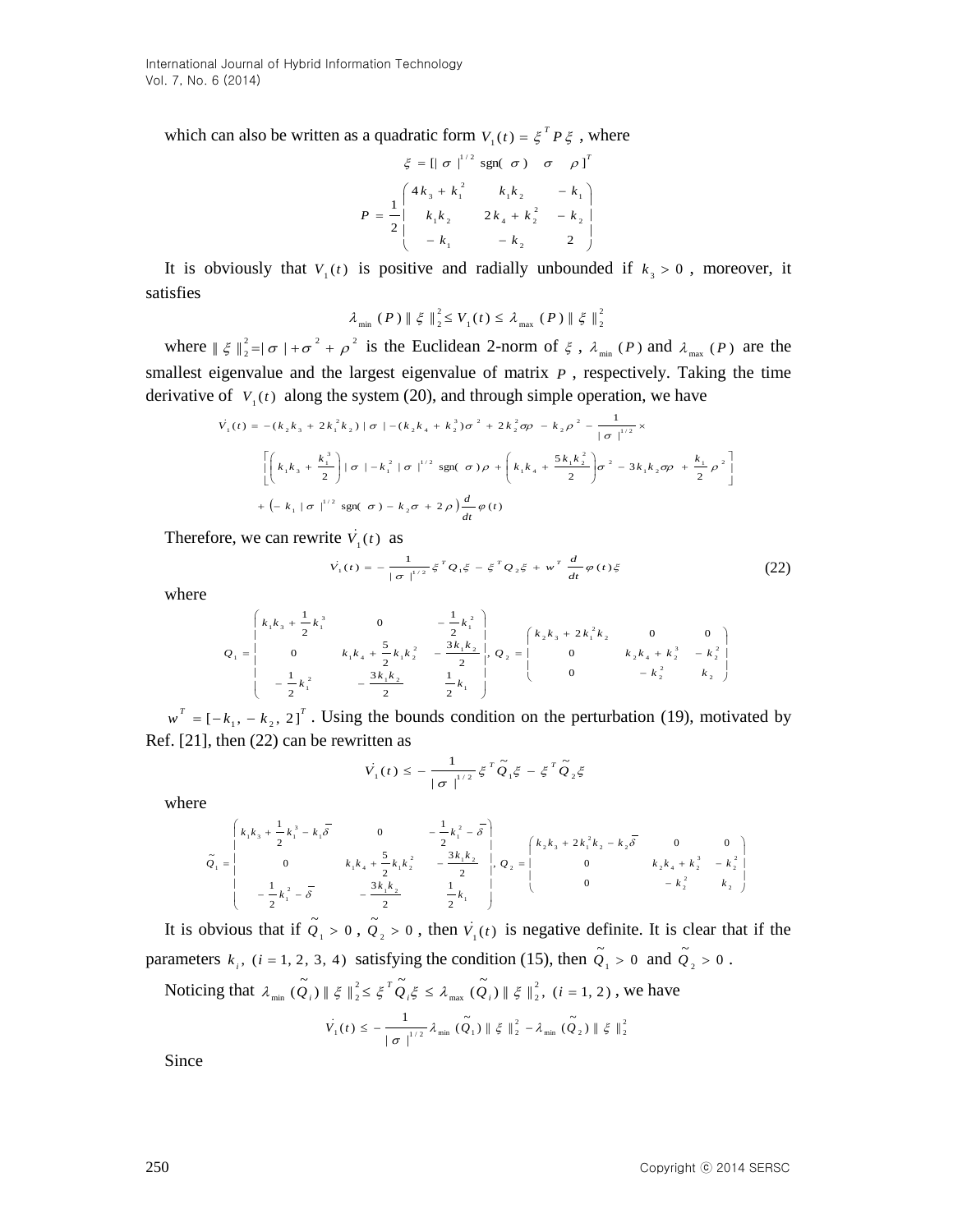which can also be written as a quadratic form  $V_1(t) = \xi^T P \xi$ , where

$$
\xi = \left[\begin{array}{ccc} & \xi = \left[\begin{array}{ccc} & \sigma \end{array}\right]^{1/2} \text{sgn}(\sigma) & \sigma & \rho \end{array}\right]^T
$$

$$
P = \frac{1}{2} \begin{pmatrix} 4k_3 + k_1^2 & k_1k_2 & -k_1 \\ & k_1k_2 & 2k_4 + k_2^2 & -k_2 \\ & -k_1 & -k_2 & 2 \end{pmatrix}
$$

It is obviously that  $V_1(t)$  is positive and radially unbounded if  $k_3 > 0$ , moreover, it satisfies

> 2  $_1$ ( $\ell$ )  $\rightarrow$   $\ell$ <sub>max</sub> ( $\ell$ )  $\parallel$  5  $\parallel$  2 2  $\lambda_{\min}$  (P)  $\|\xi\|_2^2 \le V_1(t) \le \lambda_{\max}$  (P)  $\|\xi\|_2^2$

where  $\|\xi\|_{2}^{2} = |\sigma| + \sigma^{2} + \rho^{2}$  $\|\xi\|^2 = |\sigma| + \sigma^2 + \rho^2$  is the Euclidean 2-norm of  $\xi$ ,  $\lambda_{\min}(P)$  and  $\lambda_{\max}(P)$  are the smallest eigenvalue and the largest eigenvalue of matrix  $P$ , respectively. Taking the time derivative of  $V_1(t)$  along the system (20), and through simple operation, we have

$$
\dot{V}_1(t) = -(k_2k_3 + 2k_1^2k_2) |\sigma| - (k_2k_4 + k_2^3)\sigma^2 + 2k_2^2\sigma\rho - k_2\rho^2 - \frac{1}{|\sigma|^{1/2}} \times
$$
\n
$$
\left[ \left( k_1k_3 + \frac{k_1^3}{2} \right) |\sigma| - k_1^2 |\sigma|^{1/2} \operatorname{sgn}(\sigma)\rho + \left( k_1k_4 + \frac{5k_1k_2^2}{2} \right) \sigma^2 - 3k_1k_2\sigma\rho + \frac{k_1}{2}\rho^2 \right]
$$
\n
$$
+ \left( -k_1 |\sigma|^{1/2} \operatorname{sgn}(\sigma) - k_2\sigma + 2\rho \right) \frac{d}{dt}\varphi(t)
$$

Therefore, we can rewrite  $V_1(t)$  as

$$
\dot{V}_1(t) = -\frac{1}{|\sigma|^{1/2}} \xi^T Q_1 \xi - \xi^T Q_2 \xi + w^T \frac{d}{dt} \varphi(t) \xi
$$
 (22)

where

$$
Q_{1} = \begin{pmatrix} k_{1}k_{3} + \frac{1}{2}k_{1}^{3} & 0 & -\frac{1}{2}k_{1}^{2} \\ 0 & k_{1}k_{4} + \frac{5}{2}k_{1}k_{2}^{2} & -\frac{3k_{1}k_{2}}{2} \\ -\frac{1}{2}k_{1}^{2} & -\frac{3k_{1}k_{2}}{2} & \frac{1}{2}k_{1} \end{pmatrix}, Q_{2} = \begin{pmatrix} k_{2}k_{3} + 2k_{1}^{2}k_{2} & 0 & 0 \\ 0 & k_{2}k_{4} + k_{2}^{3} & -k_{2}^{2} \\ 0 & -k_{2}^{2} & k_{2} \end{pmatrix}
$$

 $w^T = [-k_1, -k_2, 2]^T$ . Using the bounds condition on the perturbation (19), motivated by Ref. [21], then (22) can be rewritten as

$$
\dot{V}_1(t) \le -\frac{1}{|\sigma|^{1/2}} \xi^T \tilde{Q}_1 \xi - \xi^T \tilde{Q}_2 \xi
$$

where

$$
\tilde{Q}_1 = \begin{pmatrix}\nk_1k_3 + \frac{1}{2}k_1^3 - k_1\overline{\delta} & 0 & -\frac{1}{2}k_1^2 - \overline{\delta} \\
0 & k_1k_4 + \frac{5}{2}k_1k_2^2 & -\frac{3k_1k_2}{2} & 0 & k_2k_4 + k_2^3 - k_2^2 \\
-\frac{1}{2}k_1^2 - \overline{\delta} & -\frac{3k_1k_2}{2} & \frac{1}{2}k_1 & 0 & -k_2^2 - k_2\n\end{pmatrix}, Q_2 = \begin{pmatrix}\nk_2k_3 + 2k_1^2k_2 - k_2\overline{\delta} & 0 & 0 \\
0 & k_2k_4 + k_2^3 - k_2^2 & k_2\n\end{pmatrix}
$$

It is obvious that if  $\tilde{Q}_1 > 0$ ,  $\tilde{Q}_2 > 0$ , then  $V_1(t)$  is negative definite. It is clear that if the parameters  $k_i$ ,  $(i = 1, 2, 3, 4)$  satisfying the condition (15), then  $\tilde{Q}_1 > 0$  and  $\tilde{Q}_2 > 0$ .

Noticing that 
$$
\lambda_{\min}(\tilde{Q}_i) \parallel \xi \parallel_2^2 \leq \xi^T \tilde{Q}_i \xi \leq \lambda_{\max}(\tilde{Q}_i) \parallel \xi \parallel_2^2
$$
,  $(i = 1, 2)$ , we have

$$
\dot{V}_1(t) \leq -\frac{1}{|\sigma|^{1/2}} \lambda_{\min} (\tilde{Q}_1) \| \xi \|_2^2 - \lambda_{\min} (\tilde{Q}_2) \| \xi \|_2^2
$$

Since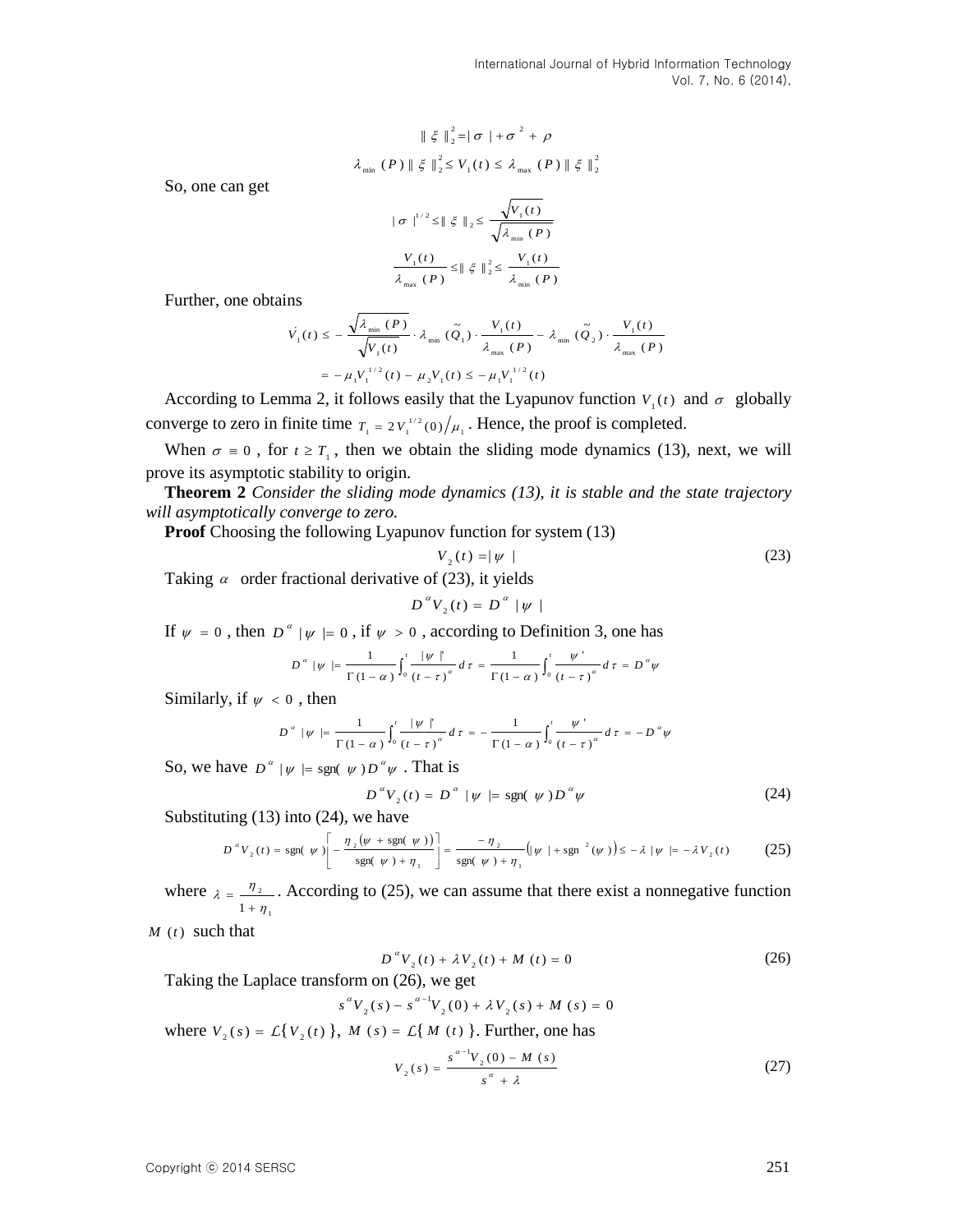$$
\|\xi\|_2^2 = |\sigma| + \sigma^2 + \rho
$$
  

$$
\lambda_{\min} (P) \|\xi\|_2^2 \le V_1(t) \le \lambda_{\max} (P) \|\xi\|_2^2
$$

So, one can get

$$
|\sigma|^{1/2} \leq ||\xi||_2 \leq \frac{\sqrt{V_1(t)}}{\sqrt{\lambda_{\min}(P)}}
$$

$$
\frac{V_1(t)}{\lambda_{\max}(P)} \leq ||\xi||_2^2 \leq \frac{V_1(t)}{\lambda_{\min}(P)}
$$

Further, one obtains

$$
\dot{V}_{1}(t) \leq -\frac{\sqrt{\lambda_{\min}(P)}}{\sqrt{V_{1}(t)}} \cdot \lambda_{\min}(\tilde{Q}_{1}) \cdot \frac{V_{1}(t)}{\lambda_{\max}(P)} - \lambda_{\min}(\tilde{Q}_{2}) \cdot \frac{V_{1}(t)}{\lambda_{\max}(P)}
$$
\n
$$
= -\mu_{1}V_{1}^{1/2}(t) - \mu_{2}V_{1}(t) \leq -\mu_{1}V_{1}^{1/2}(t)
$$

According to Lemma 2, it follows easily that the Lyapunov function  $V_1(t)$  and  $\sigma$  globally converge to zero in finite time  $T_1 = 2 V_1^{1/2}(0) / \mu_1$ . Hence, the proof is completed.

When  $\sigma = 0$ , for  $t \geq T_1$ , then we obtain the sliding mode dynamics (13), next, we will prove its asymptotic stability to origin.

**Theorem 2** *Consider the sliding mode dynamics (13), it is stable and the state trajectory will asymptotically converge to zero.*

**Proof** Choosing the following Lyapunov function for system (13)

$$
V_2(t) = |\psi| \tag{23}
$$

Taking  $\alpha$  order fractional derivative of (23), it yields

$$
D^{a}V_{2}(t) = D^{a} |\psi|
$$

If  $\psi = 0$ , then  $D^{\alpha} | \psi | = 0$ , if  $\psi > 0$ , according to Definition 3, one has

$$
D^{a} \mid \psi \mid = \frac{1}{\Gamma(1-\alpha)} \int_{0}^{t} \frac{\mid \psi \mid'}{\left(t-\tau\right)^{\alpha}} d\tau = \frac{1}{\Gamma(1-\alpha)} \int_{0}^{t} \frac{\psi'}{\left(t-\tau\right)^{\alpha}} d\tau = D^{a} \psi
$$

Similarly, if  $\psi < 0$ , then

$$
D^{a} \mid \psi \mid = \frac{1}{\Gamma(1-\alpha)} \int_{0}^{t} \frac{|\psi|^{n}}{(t-\tau)^{\alpha}} d\tau = -\frac{1}{\Gamma(1-\alpha)} \int_{0}^{t} \frac{\psi^{n}}{(t-\tau)^{\alpha}} d\tau = -D^{a} \psi
$$

So, we have  $D^{\alpha} | \psi | = \text{sgn}(\psi) D^{\alpha} \psi$ . That is

$$
D^{\alpha}V_2(t) = D^{\alpha} \mid \psi \mid = \text{sgn}(\psi)D^{\alpha}\psi \tag{24}
$$

Substituting  $(13)$  into  $(24)$ , we have

$$
D^{a}V_{2}(t) = \text{sgn}(\psi)\left[-\frac{\eta_{2}(\psi + \text{sgn}(\psi))}{\text{sgn}(\psi) + \eta_{1}}\right] = \frac{-\eta_{2}}{\text{sgn}(\psi) + \eta_{1}}\left(|\psi| + \text{sgn}^{2}(\psi)\right) \leq -\lambda |\psi| = -\lambda V_{2}(t)
$$
 (25)

where 1 2  $1 + \eta$  $\lambda = \frac{\eta}{1 + \eta}$  $=\frac{\eta_2}{\eta_1}$ . According to (25), we can assume that there exist a nonnegative function

*M* (*t* ) such that

$$
D^{a}V_{2}(t) + \lambda V_{2}(t) + M(t) = 0
$$
\n(26)

Taking the Laplace transform on (26), we get

$$
s^{\alpha}V_2(s) - s^{\alpha-1}V_2(0) + \lambda V_2(s) + M(s) = 0
$$

where  $V_2(s) = L\{V_2(t)\}\$ ,  $M(s) = L\{M(t)\}\$ . Further, one has

$$
V_2(s) = \frac{s^{\alpha - 1} V_2(0) - M(s)}{s^{\alpha} + \lambda}
$$
 (27)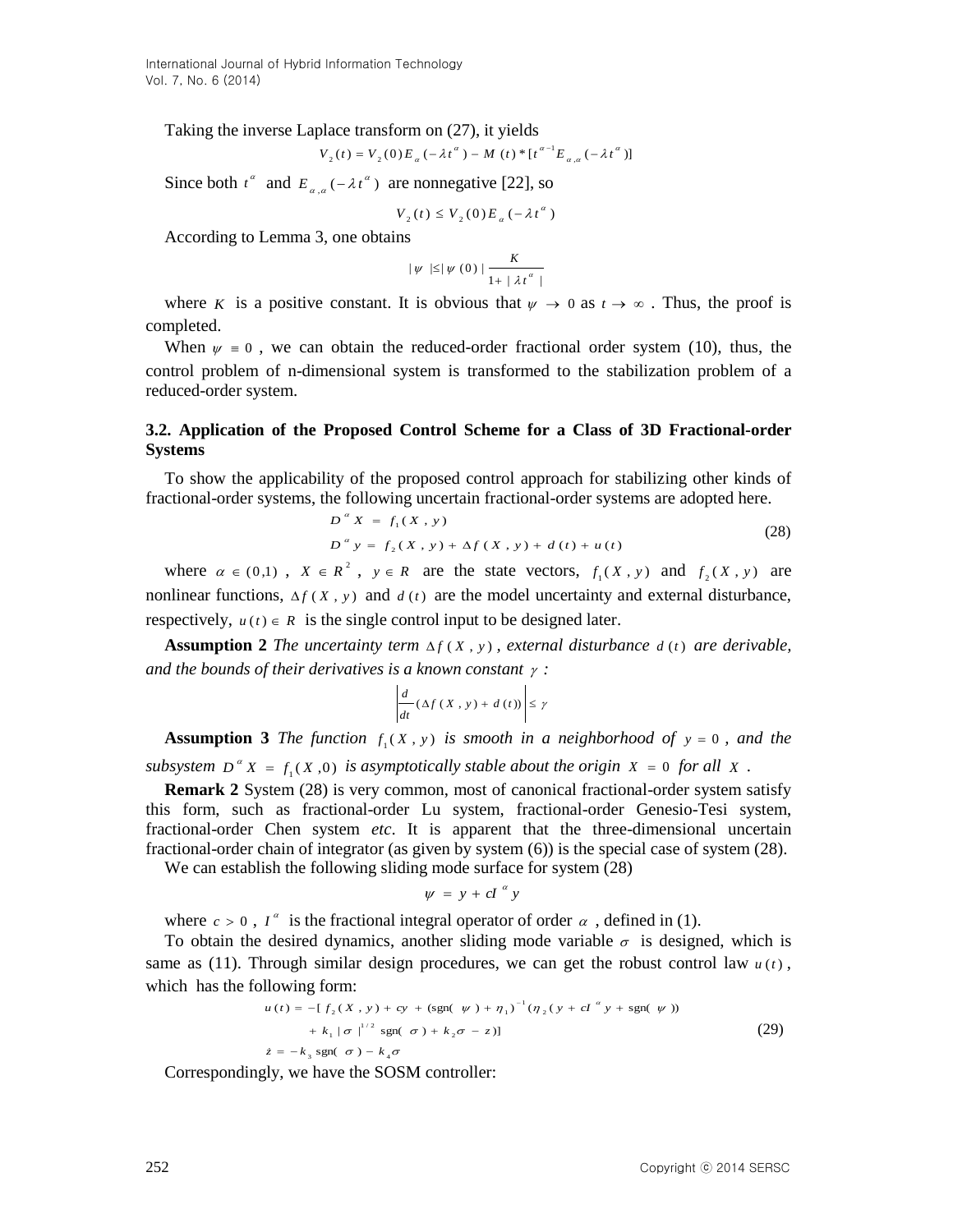Taking the inverse Laplace transform on (27), it yields

$$
V_2(t) = V_2(0) E_{\alpha}(-\lambda t^{\alpha}) - M(t) * [t^{\alpha-1} E_{\alpha,\alpha}(-\lambda t^{\alpha})]
$$

Since both  $t^{\alpha}$  and  $E_{\alpha,\alpha}(-\lambda t^{\alpha})$  $E_{a,a}(-\lambda t^{\alpha})$  are nonnegative [22], so

$$
V_{2}(t) \leq V_{2}(0) E_{\alpha}(-\lambda t^{\alpha})
$$

According to Lemma 3, one obtains

$$
|\psi| \leq |\psi(0)| \frac{K}{1 + |\lambda t^{\alpha}|}
$$

where K is a positive constant. It is obvious that  $\psi \to 0$  as  $t \to \infty$ . Thus, the proof is completed.

When  $\psi = 0$ , we can obtain the reduced-order fractional order system (10), thus, the control problem of n-dimensional system is transformed to the stabilization problem of a reduced-order system.

#### **3.2. Application of the Proposed Control Scheme for a Class of 3D Fractional-order Systems**

To show the applicability of the proposed control approach for stabilizing other kinds of fractional-order systems, the following uncertain fractional-order systems are adopted here.

$$
D^{a} X = f_{1}(X, y)
$$
  
\n
$$
D^{a} y = f_{2}(X, y) + \Delta f(X, y) + d(t) + u(t)
$$
\n(28)

where  $\alpha \in (0,1)$ ,  $X \in R^2$ ,  $y \in R$  are the state vectors,  $f_1(X, y)$  and  $f_2(X, y)$  are nonlinear functions,  $\Delta f$  (*X*, *y*) and  $d(t)$  are the model uncertainty and external disturbance, respectively,  $u(t) \in R$  is the single control input to be designed later.

**Assumption 2** *The uncertainty term*  $\Delta f$  (*X*, *y*), *external disturbance d*(*t*) *are derivable,* and the bounds of their derivatives is a known constant  $\gamma$ :

$$
\left|\frac{d}{dt}(\Delta f(X, y) + d(t))\right| \leq \gamma
$$

**Assumption 3** The function  $f_1(X, y)$  is smooth in a neighborhood of  $y = 0$ , and the

subsystem  $D^{\alpha} X = f_1(X,0)$  is asymptotically stable about the origin  $X = 0$  for all X.

**Remark 2** System (28) is very common, most of canonical fractional-order system satisfy this form, such as fractional-order Lu system, fractional-order Genesio-Tesi system, fractional-order Chen system *etc*. It is apparent that the three-dimensional uncertain fractional-order chain of integrator (as given by system (6)) is the special case of system (28).

We can establish the following sliding mode surface for system (28)

$$
\psi = y + cI^{\alpha} y
$$

where  $c > 0$ ,  $I^{\alpha}$  is the fractional integral operator of order  $\alpha$ , defined in (1).

To obtain the desired dynamics, another sliding mode variable  $\sigma$  is designed, which is same as (11). Through similar design procedures, we can get the robust control law  $u(t)$ , which has the following form:

$$
u(t) = -[f_2(X, y) + cy + (\text{sgn}(\psi) + \eta_1)^{-1}(\eta_2(y + cI^{\alpha}y + \text{sgn}(\psi)))+ k_1 |\sigma|^{1/2} \text{sgn}(\sigma) + k_2 \sigma - z)]
$$
\n(29)  
\n
$$
\dot{z} = -k_3 \text{sgn}(\sigma) - k_4 \sigma
$$

Correspondingly, we have the SOSM controller: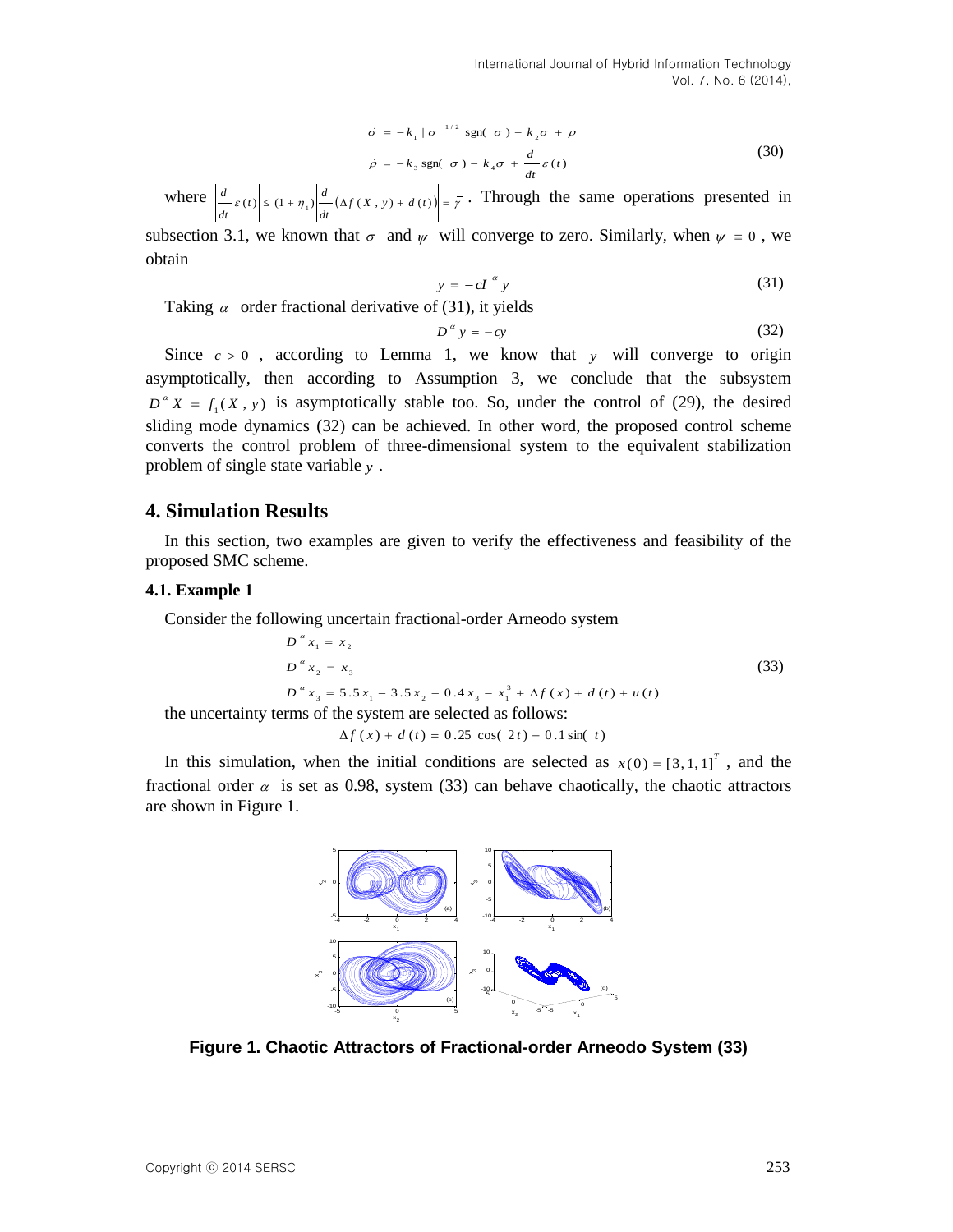$$
\dot{\sigma} = -k_1 |\sigma|^{1/2} \operatorname{sgn}(\sigma) - k_2 \sigma + \rho
$$
  

$$
\dot{\rho} = -k_3 \operatorname{sgn}(\sigma) - k_4 \sigma + \frac{d}{dt} \varepsilon(t)
$$
 (30)

where  $\left| \frac{d}{dt} \varepsilon(t) \right| \leq (1 + \eta_1) \left| \frac{d}{dt} (\Delta f(X, y) + d(t)) \right| = \overline{y}$  $\left| \frac{d}{dt} \varepsilon(t) \right| \leq (1 + \eta_1) \left| \frac{d}{dt} \right|$  $\left|\frac{d}{f(t)}\right| \leq (1+n)\left|\frac{d}{f(x)}\right| \leq \left|\frac{d}{f(x)}\right| \leq \frac{1}{r}$ . Through the same operations presented in

subsection 3.1, we known that  $\sigma$  and  $\psi$  will converge to zero. Similarly, when  $\psi \equiv 0$ , we obtain

$$
y = -cI^{\alpha} y \tag{31}
$$

Taking  $\alpha$  order fractional derivative of (31), it yields

$$
D^{\alpha} y = -cy \tag{32}
$$

Since  $c > 0$ , according to Lemma 1, we know that y will converge to origin asymptotically, then according to Assumption 3, we conclude that the subsystem  $D^{\alpha} X = f_1(X, y)$  is asymptotically stable too. So, under the control of (29), the desired sliding mode dynamics (32) can be achieved. In other word, the proposed control scheme converts the control problem of three-dimensional system to the equivalent stabilization problem of single state variable *y* .

#### **4. Simulation Results**

In this section, two examples are given to verify the effectiveness and feasibility of the proposed SMC scheme.

#### **4.1. Example 1**

Consider the following uncertain fractional-order Arneodo system

$$
D^{a} x_{1} = x_{2}
$$
  
\n
$$
D^{a} x_{2} = x_{3}
$$
  
\n
$$
D^{a} x_{3} = 5.5 x_{1} - 3.5 x_{2} - 0.4 x_{3} - x_{1}^{3} + \Delta f (x) + d (t) + u (t)
$$
  
\nthe uncertainty terms of the system are selected as follows:  
\n
$$
\Delta f (x) + d (t) = 0.25 \cos (2t) - 0.1 \sin(t)
$$

In this simulation, when the initial conditions are selected as  $x(0) = [3, 1, 1]^T$ , and the fractional order  $\alpha$  is set as 0.98, system (33) can behave chaotically, the chaotic attractors are shown in Figure 1.



**Figure 1. Chaotic Attractors of Fractional-order Arneodo System (33)**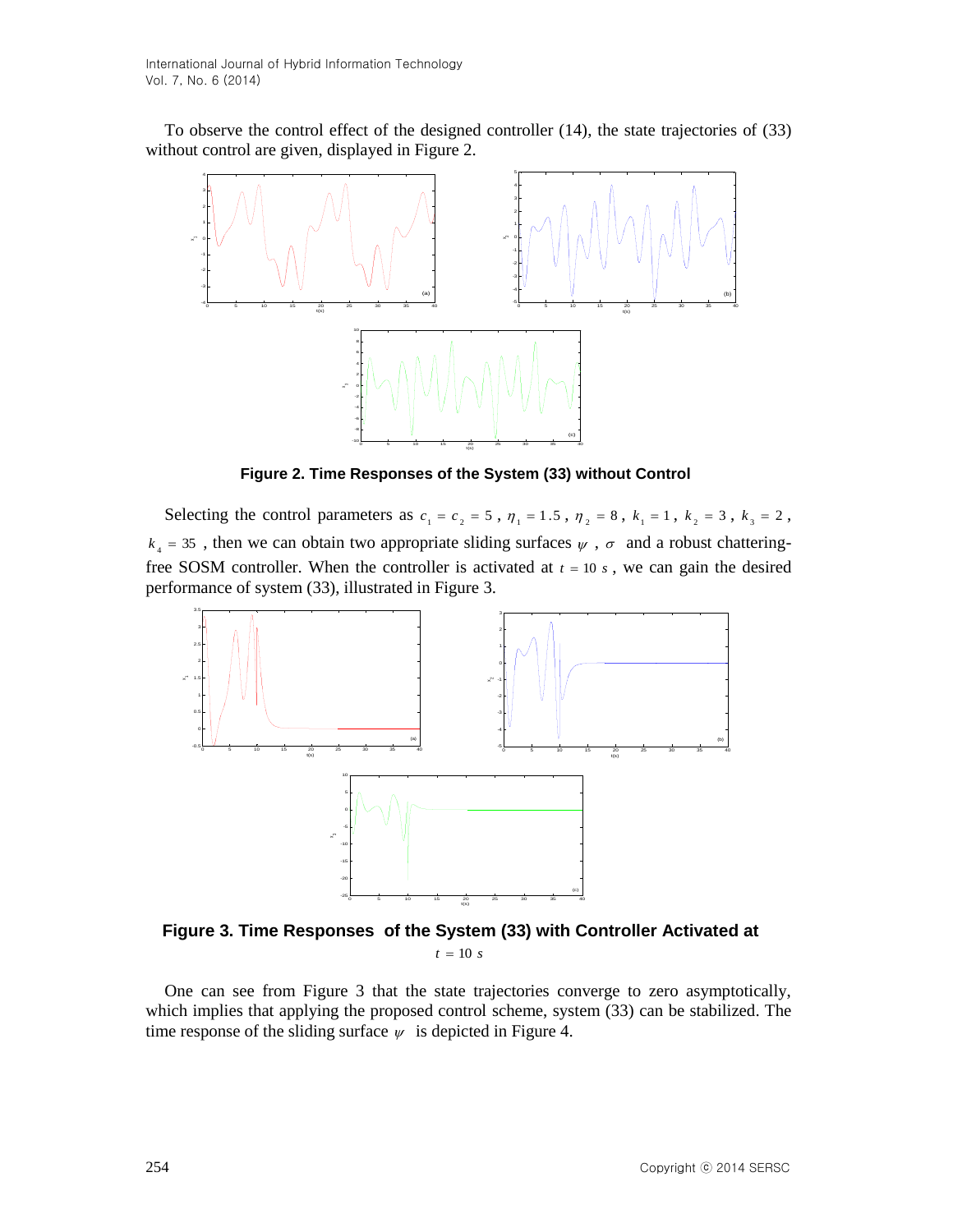To observe the control effect of the designed controller (14), the state trajectories of (33) without control are given, displayed in Figure 2.



**Figure 2. Time Responses of the System (33) without Control**

Selecting the control parameters as  $c_1 = c_2 = 5$ ,  $\eta_1 = 1.5$ ,  $\eta_2 = 8$ ,  $k_1 = 1$ ,  $k_2 = 3$ ,  $k_3 = 2$ ,  $k_4$  = 35, then we can obtain two appropriate sliding surfaces  $\psi$ ,  $\sigma$  and a robust chatteringfree SOSM controller. When the controller is activated at  $t = 10 s$ , we can gain the desired performance of system (33), illustrated in Figure 3.



**Figure 3. Time Responses of the System (33) with Controller Activated at**   $t = 10 s$ 

One can see from Figure 3 that the state trajectories converge to zero asymptotically, which implies that applying the proposed control scheme, system (33) can be stabilized. The time response of the sliding surface  $\psi$  is depicted in Figure 4.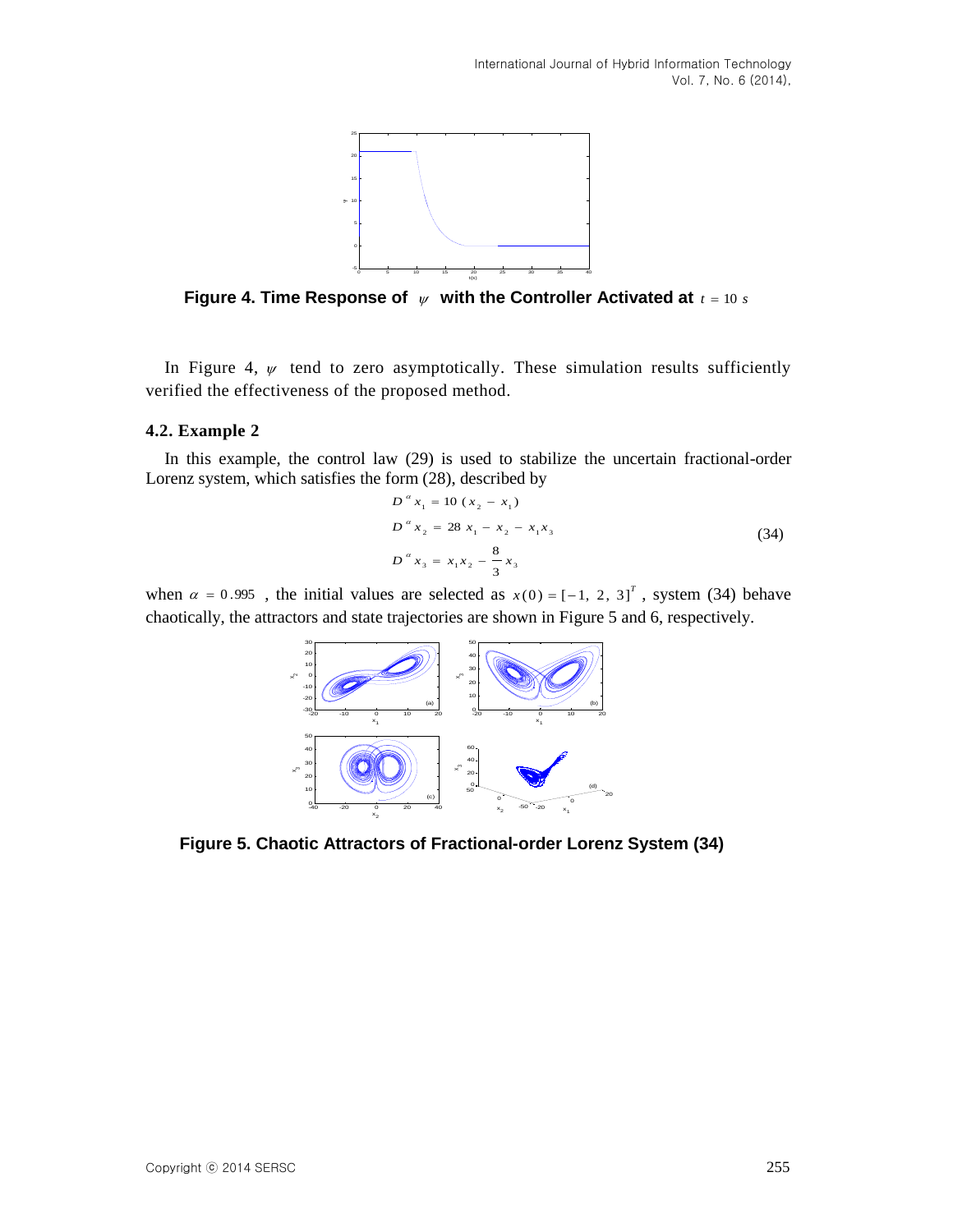

Figure 4. Time Response of  $\psi$  with the Controller Activated at  $t = 10 s$ 

In Figure 4,  $\psi$  tend to zero asymptotically. These simulation results sufficiently verified the effectiveness of the proposed method.

#### **4.2. Example 2**

In this example, the control law (29) is used to stabilize the uncertain fractional-order Lorenz system, which satisfies the form (28), described by

$$
D^{a} x_{1} = 10 (x_{2} - x_{1})
$$
  
\n
$$
D^{a} x_{2} = 28 x_{1} - x_{2} - x_{1}x_{3}
$$
  
\n
$$
D^{a} x_{3} = x_{1}x_{2} - \frac{8}{3}x_{3}
$$
\n(34)

when  $\alpha = 0.995$ , the initial values are selected as  $x(0) = [-1, 2, 3]^T$ , system (34) behave chaotically, the attractors and state trajectories are shown in Figure 5 and 6, respectively.



**Figure 5. Chaotic Attractors of Fractional-order Lorenz System (34)**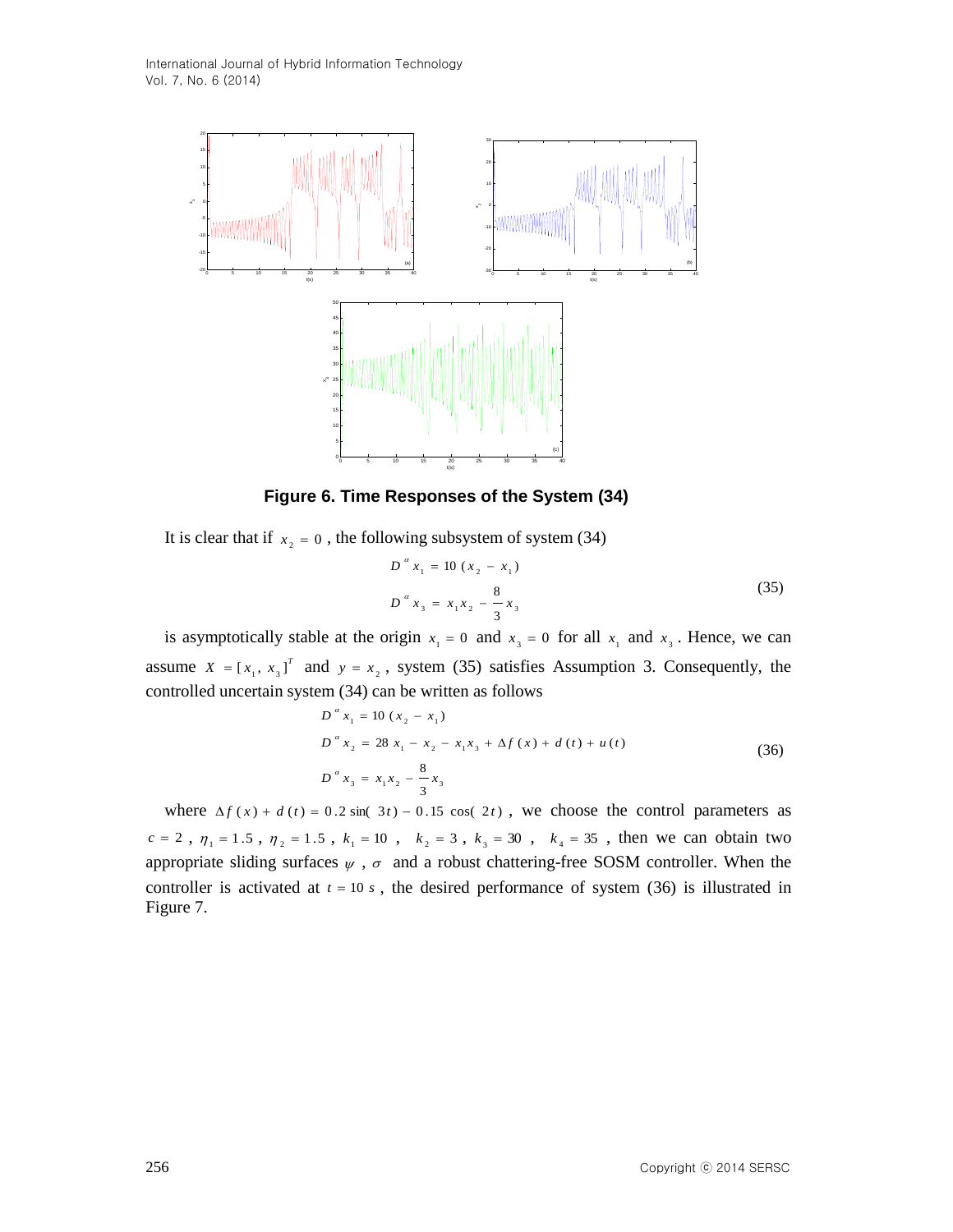

**Figure 6. Time Responses of the System (34)**

It is clear that if  $x_2 = 0$ , the following subsystem of system (34)

$$
D^{a} x_{1} = 10 (x_{2} - x_{1})
$$
  
\n
$$
D^{a} x_{3} = x_{1} x_{2} - \frac{8}{3} x_{3}
$$
\n(35)

is asymptotically stable at the origin  $x_1 = 0$  and  $x_3 = 0$  for all  $x_1$  and  $x_3$ . Hence, we can assume  $X = [x_1, x_3]^T$  and  $y = x_2$ , system (35) satisfies Assumption 3. Consequently, the controlled uncertain system (34) can be written as follows

$$
D^{a} x_{1} = 10 (x_{2} - x_{1})
$$
  
\n
$$
D^{a} x_{2} = 28 x_{1} - x_{2} - x_{1}x_{3} + \Delta f (x) + d (t) + u (t)
$$
  
\n
$$
D^{a} x_{3} = x_{1}x_{2} - \frac{8}{3}x_{3}
$$
\n(36)

where  $\Delta f(x) + d(t) = 0.2 \sin(\theta t) - 0.15 \cos(\theta t)$ , we choose the control parameters as  $c = 2$ ,  $\eta_1 = 1.5$ ,  $\eta_2 = 1.5$ ,  $k_1 = 10$ ,  $k_2 = 3$ ,  $k_3 = 30$ ,  $k_4 = 35$ , then we can obtain two appropriate sliding surfaces  $\psi$ ,  $\sigma$  and a robust chattering-free SOSM controller. When the controller is activated at  $t = 10 s$ , the desired performance of system (36) is illustrated in Figure 7.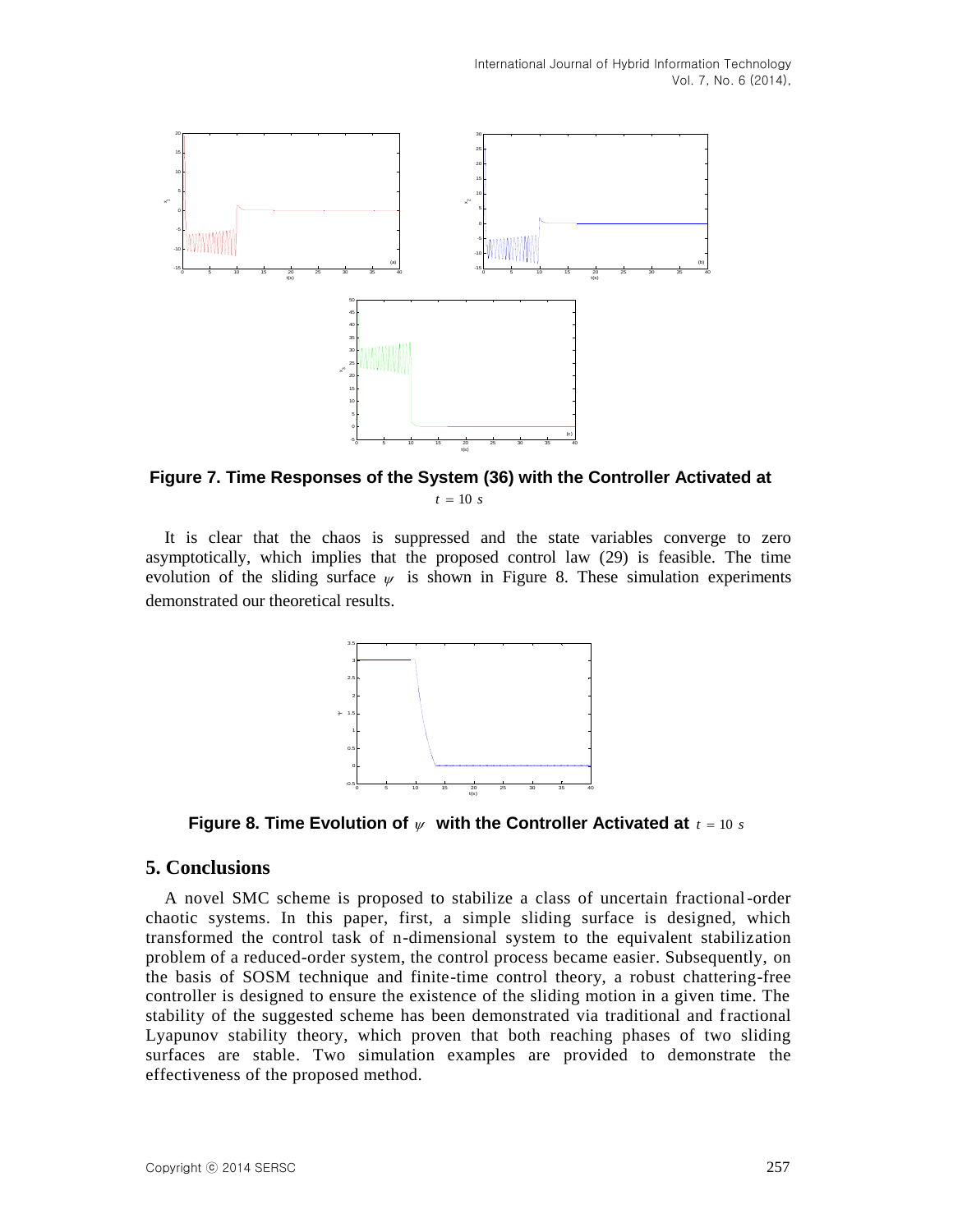

**Figure 7. Time Responses of the System (36) with the Controller Activated at**   $t = 10 s$ 

It is clear that the chaos is suppressed and the state variables converge to zero asymptotically, which implies that the proposed control law (29) is feasible. The time evolution of the sliding surface  $\psi$  is shown in Figure 8. These simulation experiments demonstrated our theoretical results.



**Figure 8. Time Evolution of**  $\psi$  **with the Controller Activated at**  $t = 10 s$ 

# **5. Conclusions**

A novel SMC scheme is proposed to stabilize a class of uncertain fractional-order chaotic systems. In this paper, first, a simple sliding surface is designed, which transformed the control task of n-dimensional system to the equivalent stabilization problem of a reduced-order system, the control process became easier. Subsequently, on the basis of SOSM technique and finite-time control theory, a robust chattering-free controller is designed to ensure the existence of the sliding motion in a given time. The stability of the suggested scheme has been demonstrated via traditional and fractional Lyapunov stability theory, which proven that both reaching phases of two sliding surfaces are stable. Two simulation examples are provided to demonstrate the effectiveness of the proposed method.